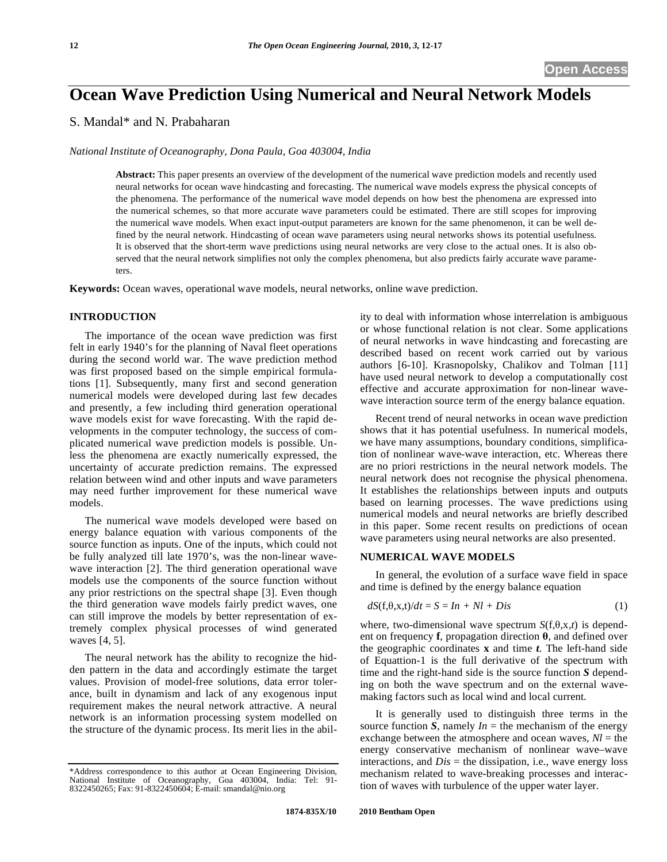# **Ocean Wave Prediction Using Numerical and Neural Network Models**

# S. Mandal\* and N. Prabaharan

*National Institute of Oceanography, Dona Paula, Goa 403004, India* 

**Abstract:** This paper presents an overview of the development of the numerical wave prediction models and recently used neural networks for ocean wave hindcasting and forecasting. The numerical wave models express the physical concepts of the phenomena. The performance of the numerical wave model depends on how best the phenomena are expressed into the numerical schemes, so that more accurate wave parameters could be estimated. There are still scopes for improving the numerical wave models. When exact input-output parameters are known for the same phenomenon, it can be well defined by the neural network. Hindcasting of ocean wave parameters using neural networks shows its potential usefulness. It is observed that the short-term wave predictions using neural networks are very close to the actual ones. It is also observed that the neural network simplifies not only the complex phenomena, but also predicts fairly accurate wave parameters.

**Keywords:** Ocean waves, operational wave models, neural networks, online wave prediction.

# **INTRODUCTION**

The importance of the ocean wave prediction was first felt in early 1940's for the planning of Naval fleet operations during the second world war. The wave prediction method was first proposed based on the simple empirical formulations [1]. Subsequently, many first and second generation numerical models were developed during last few decades and presently, a few including third generation operational wave models exist for wave forecasting. With the rapid developments in the computer technology, the success of complicated numerical wave prediction models is possible. Unless the phenomena are exactly numerically expressed, the uncertainty of accurate prediction remains. The expressed relation between wind and other inputs and wave parameters may need further improvement for these numerical wave models.

The numerical wave models developed were based on energy balance equation with various components of the source function as inputs. One of the inputs, which could not be fully analyzed till late 1970's, was the non-linear wavewave interaction [2]. The third generation operational wave models use the components of the source function without any prior restrictions on the spectral shape [3]. Even though the third generation wave models fairly predict waves, one can still improve the models by better representation of extremely complex physical processes of wind generated waves [4, 5].

The neural network has the ability to recognize the hidden pattern in the data and accordingly estimate the target values. Provision of model-free solutions, data error tolerance, built in dynamism and lack of any exogenous input requirement makes the neural network attractive. A neural network is an information processing system modelled on the structure of the dynamic process. Its merit lies in the ability to deal with information whose interrelation is ambiguous or whose functional relation is not clear. Some applications of neural networks in wave hindcasting and forecasting are described based on recent work carried out by various authors [6-10]. Krasnopolsky, Chalikov and Tolman [11] have used neural network to develop a computationally cost effective and accurate approximation for non-linear wavewave interaction source term of the energy balance equation.

Recent trend of neural networks in ocean wave prediction shows that it has potential usefulness. In numerical models, we have many assumptions, boundary conditions, simplification of nonlinear wave-wave interaction, etc. Whereas there are no priori restrictions in the neural network models. The neural network does not recognise the physical phenomena. It establishes the relationships between inputs and outputs based on learning processes. The wave predictions using numerical models and neural networks are briefly described in this paper. Some recent results on predictions of ocean wave parameters using neural networks are also presented.

# **NUMERICAL WAVE MODELS**

In general, the evolution of a surface wave field in space and time is defined by the energy balance equation

$$
dS(f, \theta, x, t)/dt = S = In + Nl + Dis \tag{1}
$$

where, two-dimensional wave spectrum  $S(f, \theta, x, t)$  is dependent on frequency **f**, propagation direction  $\theta$ , and defined over the geographic coordinates **x** and time *t*. The left-hand side of Equattion-1 is the full derivative of the spectrum with time and the right-hand side is the source function *S* depending on both the wave spectrum and on the external wavemaking factors such as local wind and local current.

It is generally used to distinguish three terms in the source function *S*, namely  $In =$  the mechanism of the energy exchange between the atmosphere and ocean waves,  $Nl =$  the energy conservative mechanism of nonlinear wave–wave interactions, and  $Dis =$  the dissipation, i.e., wave energy loss mechanism related to wave-breaking processes and interaction of waves with turbulence of the upper water layer.

<sup>\*</sup>Address correspondence to this author at Ocean Engineering Division, National Institute of Oceanography, Goa 403004, India: Tel: 91- 8322450265; Fax: 91-8322450604; E-mail: smandal@nio.org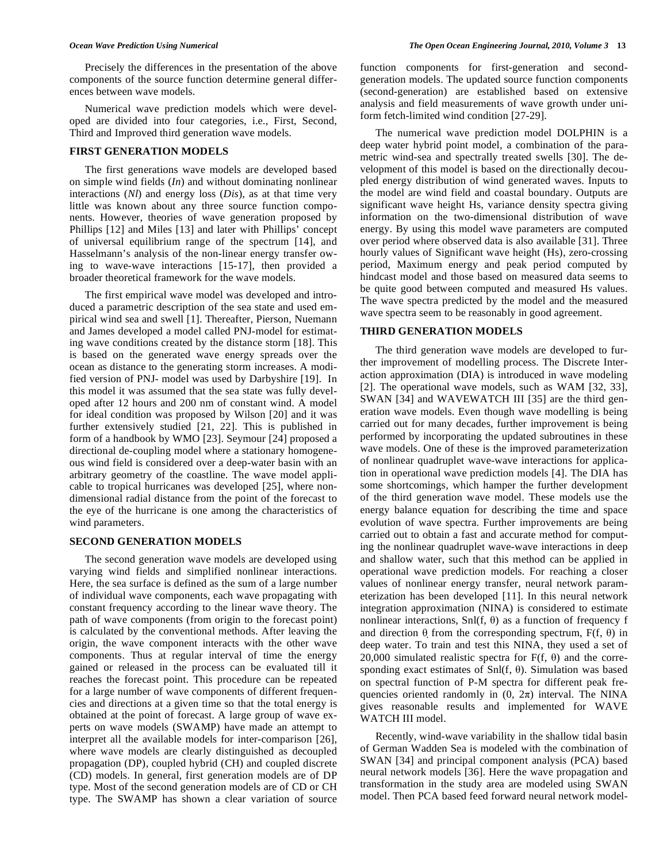Precisely the differences in the presentation of the above components of the source function determine general differences between wave models.

Numerical wave prediction models which were developed are divided into four categories, i.e., First, Second, Third and Improved third generation wave models.

#### **FIRST GENERATION MODELS**

The first generations wave models are developed based on simple wind fields (*In*) and without dominating nonlinear interactions (*Nl*) and energy loss (*Dis*), as at that time very little was known about any three source function components. However, theories of wave generation proposed by Phillips [12] and Miles [13] and later with Phillips' concept of universal equilibrium range of the spectrum [14], and Hasselmann's analysis of the non-linear energy transfer owing to wave-wave interactions [15-17], then provided a broader theoretical framework for the wave models.

The first empirical wave model was developed and introduced a parametric description of the sea state and used empirical wind sea and swell [1]. Thereafter, Pierson, Nuemann and James developed a model called PNJ-model for estimating wave conditions created by the distance storm [18]. This is based on the generated wave energy spreads over the ocean as distance to the generating storm increases. A modified version of PNJ- model was used by Darbyshire [19]. In this model it was assumed that the sea state was fully developed after 12 hours and 200 nm of constant wind. A model for ideal condition was proposed by Wilson [20] and it was further extensively studied [21, 22]. This is published in form of a handbook by WMO [23]. Seymour [24] proposed a directional de-coupling model where a stationary homogeneous wind field is considered over a deep-water basin with an arbitrary geometry of the coastline. The wave model applicable to tropical hurricanes was developed [25], where nondimensional radial distance from the point of the forecast to the eye of the hurricane is one among the characteristics of wind parameters.

#### **SECOND GENERATION MODELS**

The second generation wave models are developed using varying wind fields and simplified nonlinear interactions. Here, the sea surface is defined as the sum of a large number of individual wave components, each wave propagating with constant frequency according to the linear wave theory. The path of wave components (from origin to the forecast point) is calculated by the conventional methods. After leaving the origin, the wave component interacts with the other wave components. Thus at regular interval of time the energy gained or released in the process can be evaluated till it reaches the forecast point. This procedure can be repeated for a large number of wave components of different frequencies and directions at a given time so that the total energy is obtained at the point of forecast. A large group of wave experts on wave models (SWAMP) have made an attempt to interpret all the available models for inter-comparison [26], where wave models are clearly distinguished as decoupled propagation (DP), coupled hybrid (CH) and coupled discrete (CD) models. In general, first generation models are of DP type. Most of the second generation models are of CD or CH type. The SWAMP has shown a clear variation of source function components for first-generation and secondgeneration models. The updated source function components (second-generation) are established based on extensive analysis and field measurements of wave growth under uniform fetch-limited wind condition [27-29].

The numerical wave prediction model DOLPHIN is a deep water hybrid point model, a combination of the parametric wind-sea and spectrally treated swells [30]. The development of this model is based on the directionally decoupled energy distribution of wind generated waves. Inputs to the model are wind field and coastal boundary. Outputs are significant wave height Hs, variance density spectra giving information on the two-dimensional distribution of wave energy. By using this model wave parameters are computed over period where observed data is also available [31]. Three hourly values of Significant wave height (Hs), zero-crossing period, Maximum energy and peak period computed by hindcast model and those based on measured data seems to be quite good between computed and measured Hs values. The wave spectra predicted by the model and the measured wave spectra seem to be reasonably in good agreement.

#### **THIRD GENERATION MODELS**

The third generation wave models are developed to further improvement of modelling process. The Discrete Interaction approximation (DIA) is introduced in wave modeling [2]. The operational wave models, such as WAM [32, 33], SWAN [34] and WAVEWATCH III [35] are the third generation wave models. Even though wave modelling is being carried out for many decades, further improvement is being performed by incorporating the updated subroutines in these wave models. One of these is the improved parameterization of nonlinear quadruplet wave-wave interactions for application in operational wave prediction models [4]. The DIA has some shortcomings, which hamper the further development of the third generation wave model. These models use the energy balance equation for describing the time and space evolution of wave spectra. Further improvements are being carried out to obtain a fast and accurate method for computing the nonlinear quadruplet wave-wave interactions in deep and shallow water, such that this method can be applied in operational wave prediction models. For reaching a closer values of nonlinear energy transfer, neural network parameterization has been developed [11]. In this neural network integration approximation (NINA) is considered to estimate nonlinear interactions, Snl(f,  $\theta$ ) as a function of frequency f and direction  $\theta$  from the corresponding spectrum,  $F(f, \theta)$  in deep water. To train and test this NINA, they used a set of 20,000 simulated realistic spectra for  $F(f, \theta)$  and the corresponding exact estimates of Snl(f,  $\theta$ ). Simulation was based on spectral function of P-M spectra for different peak frequencies oriented randomly in  $(0, 2\pi)$  interval. The NINA gives reasonable results and implemented for WAVE WATCH III model.

Recently, wind-wave variability in the shallow tidal basin of German Wadden Sea is modeled with the combination of SWAN [34] and principal component analysis (PCA) based neural network models [36]. Here the wave propagation and transformation in the study area are modeled using SWAN model. Then PCA based feed forward neural network model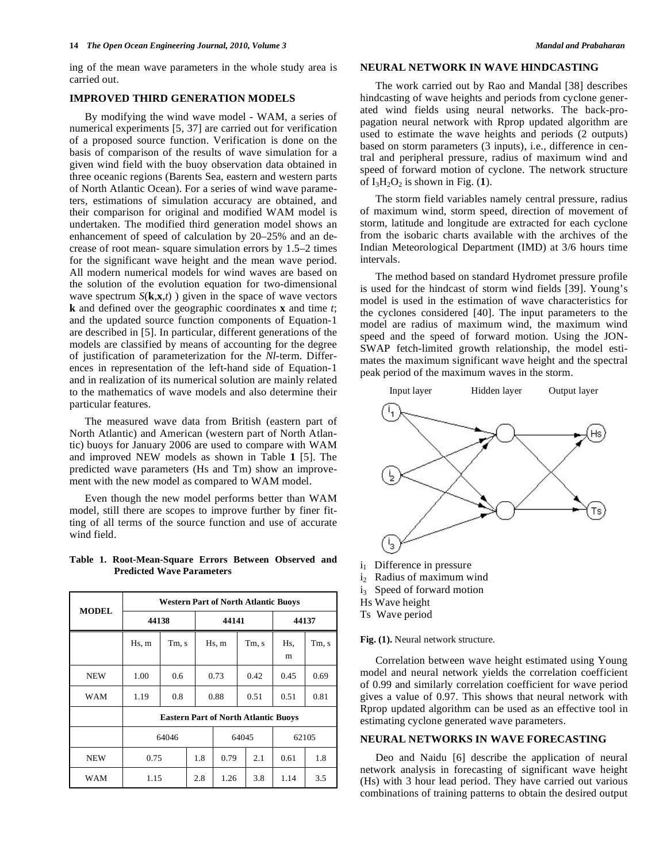ing of the mean wave parameters in the whole study area is carried out.

### **IMPROVED THIRD GENERATION MODELS**

By modifying the wind wave model - WAM, a series of numerical experiments [5, 37] are carried out for verification of a proposed source function. Verification is done on the basis of comparison of the results of wave simulation for a given wind field with the buoy observation data obtained in three oceanic regions (Barents Sea, eastern and western parts of North Atlantic Ocean). For a series of wind wave parameters, estimations of simulation accuracy are obtained, and their comparison for original and modified WAM model is undertaken. The modified third generation model shows an enhancement of speed of calculation by 20–25% and an decrease of root mean- square simulation errors by 1.5–2 times for the significant wave height and the mean wave period. All modern numerical models for wind waves are based on the solution of the evolution equation for two-dimensional wave spectrum  $S(k, x, t)$  ) given in the space of wave vectors **k** and defined over the geographic coordinates **x** and time *t*; and the updated source function components of Equation-1 are described in [5]. In particular, different generations of the models are classified by means of accounting for the degree of justification of parameterization for the *Nl*-term. Differences in representation of the left-hand side of Equation-1 and in realization of its numerical solution are mainly related to the mathematics of wave models and also determine their particular features.

The measured wave data from British (eastern part of North Atlantic) and American (western part of North Atlantic) buoys for January 2006 are used to compare with WAM and improved NEW models as shown in Table **1** [5]. The predicted wave parameters (Hs and Tm) show an improvement with the new model as compared to WAM model.

Even though the new model performs better than WAM model, still there are scopes to improve further by finer fitting of all terms of the source function and use of accurate wind field.

#### **Table 1. Root-Mean-Square Errors Between Observed and Predicted Wave Parameters**

| <b>MODEL</b> | <b>Western Part of North Atlantic Buoys</b> |       |     |       |       |          |       |  |
|--------------|---------------------------------------------|-------|-----|-------|-------|----------|-------|--|
|              | 44138                                       |       |     | 44141 |       | 44137    |       |  |
|              | Hs, m                                       | Tm, s |     | Hs, m | Tm, s | Hs,<br>m | Tm, s |  |
| NEW          | 1.00                                        | 0.6   |     | 0.73  | 0.42  | 0.45     | 0.69  |  |
| WAM          | 1.19                                        | 0.8   |     | 0.88  | 0.51  | 0.51     | 0.81  |  |
|              | <b>Eastern Part of North Atlantic Buoys</b> |       |     |       |       |          |       |  |
|              | 64046                                       |       |     | 64045 |       | 62105    |       |  |
| NEW          | 0.75                                        |       | 1.8 | 0.79  | 2.1   | 0.61     | 1.8   |  |
| WAM          | 1.15                                        |       | 2.8 | 1.26  | 3.8   | 1.14     | 3.5   |  |

# **NEURAL NETWORK IN WAVE HINDCASTING**

The work carried out by Rao and Mandal [38] describes hindcasting of wave heights and periods from cyclone generated wind fields using neural networks. The back-propagation neural network with Rprop updated algorithm are used to estimate the wave heights and periods (2 outputs) based on storm parameters (3 inputs), i.e., difference in central and peripheral pressure, radius of maximum wind and speed of forward motion of cyclone. The network structure of  $I_3H_2O_2$  is shown in Fig. (1).

The storm field variables namely central pressure, radius of maximum wind, storm speed, direction of movement of storm, latitude and longitude are extracted for each cyclone from the isobaric charts available with the archives of the Indian Meteorological Department (IMD) at 3/6 hours time intervals.

The method based on standard Hydromet pressure profile is used for the hindcast of storm wind fields [39]. Young's model is used in the estimation of wave characteristics for the cyclones considered [40]. The input parameters to the model are radius of maximum wind, the maximum wind speed and the speed of forward motion. Using the JON-SWAP fetch-limited growth relationship, the model estimates the maximum significant wave height and the spectral peak period of the maximum waves in the storm.



- i<sub>1</sub> Difference in pressure
- i<sub>2</sub> Radius of maximum wind
- i<sub>3</sub> Speed of forward motion
- Hs Wave height
- Ts Wave period

**Fig. (1).** Neural network structure.

Correlation between wave height estimated using Young model and neural network yields the correlation coefficient of 0.99 and similarly correlation coefficient for wave period gives a value of 0.97. This shows that neural network with Rprop updated algorithm can be used as an effective tool in estimating cyclone generated wave parameters.

# **NEURAL NETWORKS IN WAVE FORECASTING**

Deo and Naidu [6] describe the application of neural network analysis in forecasting of significant wave height (Hs) with 3 hour lead period. They have carried out various combinations of training patterns to obtain the desired output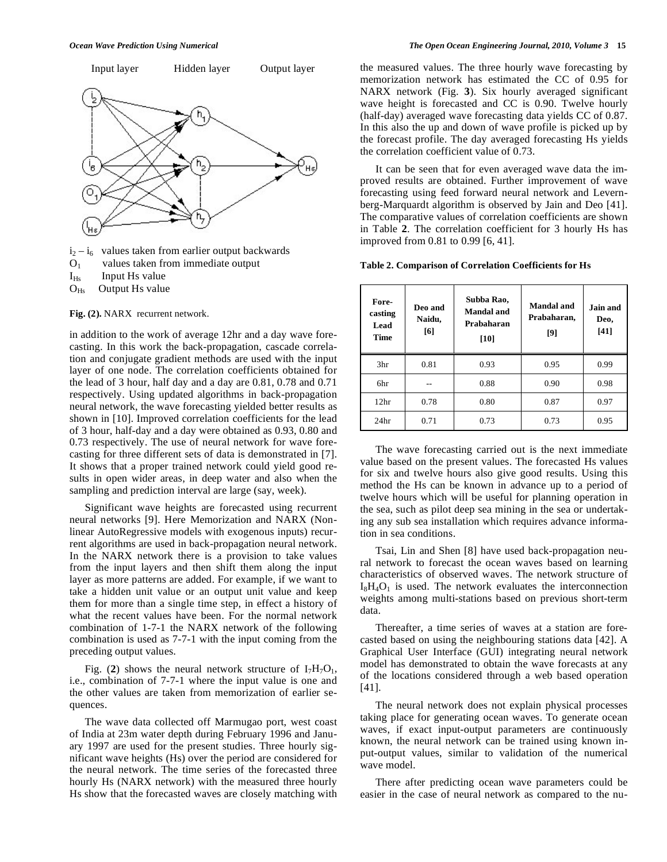

 $i_2 - i_6$  values taken from earlier output backwards  $O<sub>1</sub>$  values taken from immediate output

 $I_{Hs}$  Input Hs value

 $O_{Hs}$  Output Hs value

**Fig. (2).** NARX recurrent network.

in addition to the work of average 12hr and a day wave forecasting. In this work the back-propagation, cascade correlation and conjugate gradient methods are used with the input layer of one node. The correlation coefficients obtained for the lead of 3 hour, half day and a day are 0.81, 0.78 and 0.71 respectively. Using updated algorithms in back-propagation neural network, the wave forecasting yielded better results as shown in [10]. Improved correlation coefficients for the lead of 3 hour, half-day and a day were obtained as 0.93, 0.80 and 0.73 respectively. The use of neural network for wave forecasting for three different sets of data is demonstrated in [7]. It shows that a proper trained network could yield good results in open wider areas, in deep water and also when the sampling and prediction interval are large (say, week).

Significant wave heights are forecasted using recurrent neural networks [9]. Here Memorization and NARX (Nonlinear AutoRegressive models with exogenous inputs) recurrent algorithms are used in back-propagation neural network. In the NARX network there is a provision to take values from the input layers and then shift them along the input layer as more patterns are added. For example, if we want to take a hidden unit value or an output unit value and keep them for more than a single time step, in effect a history of what the recent values have been. For the normal network combination of 1-7-1 the NARX network of the following combination is used as 7-7-1 with the input coming from the preceding output values.

Fig. (2) shows the neural network structure of  $I_7H_7O_1$ , i.e., combination of 7-7-1 where the input value is one and the other values are taken from memorization of earlier sequences.

The wave data collected off Marmugao port, west coast of India at 23m water depth during February 1996 and January 1997 are used for the present studies. Three hourly significant wave heights (Hs) over the period are considered for the neural network. The time series of the forecasted three hourly Hs (NARX network) with the measured three hourly Hs show that the forecasted waves are closely matching with the measured values. The three hourly wave forecasting by memorization network has estimated the CC of 0.95 for NARX network (Fig. **3**). Six hourly averaged significant wave height is forecasted and CC is 0.90. Twelve hourly (half-day) averaged wave forecasting data yields CC of 0.87. In this also the up and down of wave profile is picked up by the forecast profile. The day averaged forecasting Hs yields the correlation coefficient value of 0.73.

It can be seen that for even averaged wave data the improved results are obtained. Further improvement of wave forecasting using feed forward neural network and Levernberg-Marquardt algorithm is observed by Jain and Deo [41]. The comparative values of correlation coefficients are shown in Table **2**. The correlation coefficient for 3 hourly Hs has improved from 0.81 to 0.99 [6, 41].

**Table 2. Comparison of Correlation Coefficients for Hs** 

| Fore-<br>casting<br>Lead<br>Time | Deo and<br>Naidu,<br>[6] | Subba Rao,<br>Mandal and<br>Prabaharan<br>[10] | Mandal and<br>Prabaharan,<br>[9] | Jain and<br>Deo,<br>[41] |
|----------------------------------|--------------------------|------------------------------------------------|----------------------------------|--------------------------|
| 3hr                              | 0.81                     | 0.93                                           | 0.95                             | 0.99                     |
| 6hr                              |                          | 0.88                                           | 0.90                             | 0.98                     |
| 12 <sup>hr</sup>                 | 0.78                     | 0.80                                           | 0.87                             | 0.97                     |
| 24 <sub>hr</sub>                 | 0.71                     | 0.73                                           | 0.73                             | 0.95                     |

The wave forecasting carried out is the next immediate value based on the present values. The forecasted Hs values for six and twelve hours also give good results. Using this method the Hs can be known in advance up to a period of twelve hours which will be useful for planning operation in the sea, such as pilot deep sea mining in the sea or undertaking any sub sea installation which requires advance information in sea conditions.

Tsai, Lin and Shen [8] have used back-propagation neural network to forecast the ocean waves based on learning characteristics of observed waves. The network structure of  $I_8H_4O_1$  is used. The network evaluates the interconnection weights among multi-stations based on previous short-term data.

Thereafter, a time series of waves at a station are forecasted based on using the neighbouring stations data [42]. A Graphical User Interface (GUI) integrating neural network model has demonstrated to obtain the wave forecasts at any of the locations considered through a web based operation [41].

The neural network does not explain physical processes taking place for generating ocean waves. To generate ocean waves, if exact input-output parameters are continuously known, the neural network can be trained using known input-output values, similar to validation of the numerical wave model.

There after predicting ocean wave parameters could be easier in the case of neural network as compared to the nu-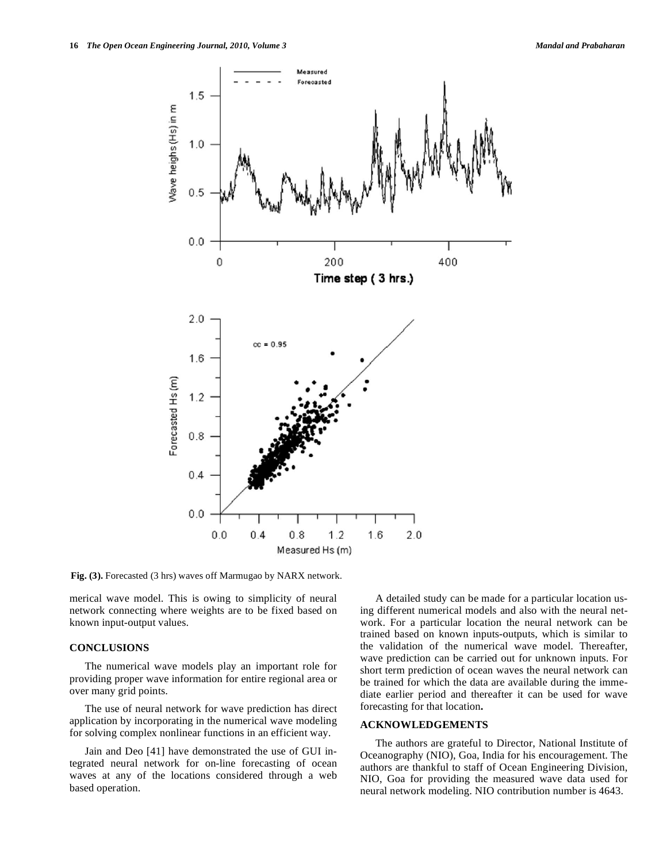

**Fig. (3).** Forecasted (3 hrs) waves off Marmugao by NARX network.

merical wave model. This is owing to simplicity of neural network connecting where weights are to be fixed based on known input-output values.

# **CONCLUSIONS**

The numerical wave models play an important role for providing proper wave information for entire regional area or over many grid points.

The use of neural network for wave prediction has direct application by incorporating in the numerical wave modeling for solving complex nonlinear functions in an efficient way.

Jain and Deo [41] have demonstrated the use of GUI integrated neural network for on-line forecasting of ocean waves at any of the locations considered through a web based operation.

A detailed study can be made for a particular location using different numerical models and also with the neural network. For a particular location the neural network can be trained based on known inputs-outputs, which is similar to the validation of the numerical wave model. Thereafter, wave prediction can be carried out for unknown inputs. For short term prediction of ocean waves the neural network can be trained for which the data are available during the immediate earlier period and thereafter it can be used for wave forecasting for that location**.** 

# **ACKNOWLEDGEMENTS**

The authors are grateful to Director, National Institute of Oceanography (NIO), Goa, India for his encouragement. The authors are thankful to staff of Ocean Engineering Division, NIO, Goa for providing the measured wave data used for neural network modeling. NIO contribution number is 4643.